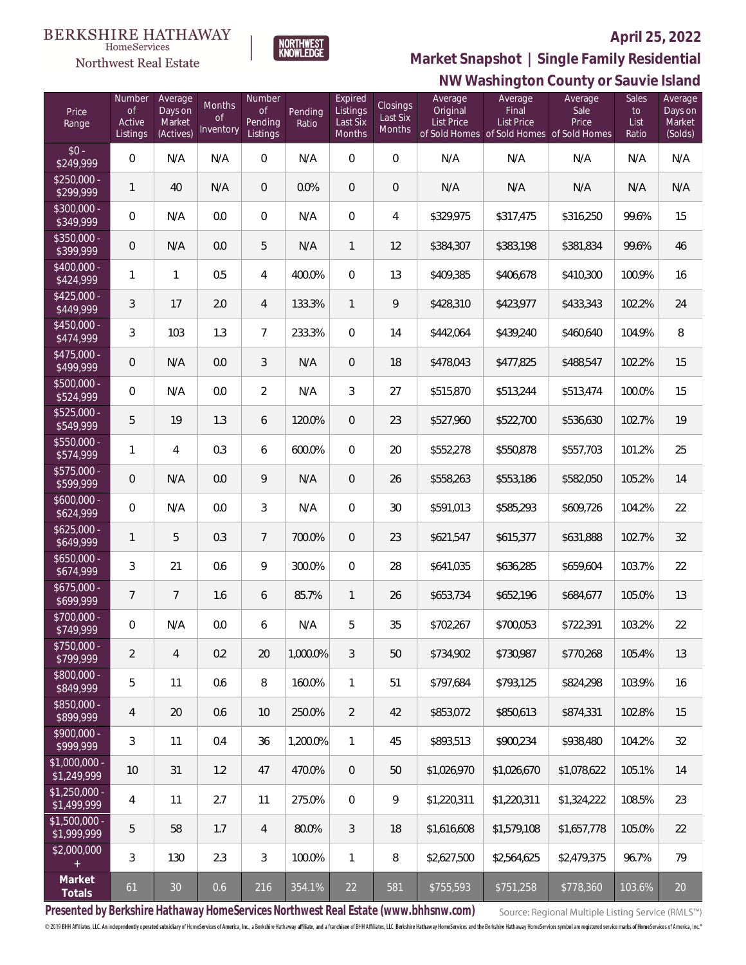#### **BERKSHIRE HATHAWAY**  $\label{lem:sevices} \textsc{Home} \textsc{Service} \textsc{s}$

# Northwest Real Estate

### **April 25, 2022**



# **NW Washington County or Sauvie Island Market Snapshot | Single Family Residential**

| Price<br>Range                | Number<br><b>of</b><br>Active<br>Listings | Average<br>Days on<br>Market<br>(Actives) | Months<br>Οf<br>Inventory | Number<br><b>of</b><br>Pending<br>Listings | Pending<br>Ratio | Expired<br>Listings<br>Last Six<br>Months | <b>Closings</b><br>Last Six<br>Months | Average<br>Original<br>List Price | Average<br>Final<br>List Price<br>of Sold Homes of Sold Homes of Sold Homes | Average<br>Sale<br>Price | Sales<br>to<br>List<br>Ratio | Average<br>Days on<br>Market<br>(Solds) |
|-------------------------------|-------------------------------------------|-------------------------------------------|---------------------------|--------------------------------------------|------------------|-------------------------------------------|---------------------------------------|-----------------------------------|-----------------------------------------------------------------------------|--------------------------|------------------------------|-----------------------------------------|
| $$0 -$<br>$\sqrt{$249,999}$   | $\overline{0}$                            | N/A                                       | N/A                       | $\overline{0}$                             | N/A              | $\overline{0}$                            | $\overline{0}$                        | N/A                               | N/A                                                                         | N/A                      | N/A                          | N/A                                     |
| $$250,000 -$<br>\$299,999     | 1                                         | 40                                        | N/A                       | $\overline{0}$                             | 0.0%             | $\overline{0}$                            | $\overline{0}$                        | N/A                               | N/A                                                                         | N/A                      | N/A                          | N/A                                     |
| \$300,000 -<br>\$349,999      | 0                                         | N/A                                       | 0.0                       | $\overline{0}$                             | N/A              | $\overline{0}$                            | $\overline{4}$                        | \$329,975                         | \$317,475                                                                   | \$316,250                | 99.6%                        | 15                                      |
| $$350,000 -$<br>\$399,999     | $\overline{0}$                            | N/A                                       | 0.0                       | 5                                          | N/A              | $\mathbf{1}$                              | 12                                    | \$384,307                         | \$383,198                                                                   | \$381,834                | 99.6%                        | 46                                      |
| \$400,000 -<br>\$424,999      | 1                                         | 1                                         | 0.5                       | 4                                          | 400.0%           | $\overline{0}$                            | 13                                    | \$409,385                         | \$406,678                                                                   | \$410,300                | 100.9%                       | 16                                      |
| $$425,000 -$<br>\$449,999     | 3                                         | 17                                        | 2.0                       | $\overline{4}$                             | 133.3%           | $\mathbf{1}$                              | 9                                     | \$428,310                         | \$423,977                                                                   | \$433,343                | 102.2%                       | 24                                      |
| $$450,000 -$<br>\$474,999     | 3                                         | 103                                       | 1.3                       | $7\overline{ }$                            | 233.3%           | $\overline{0}$                            | 14                                    | \$442,064                         | \$439,240                                                                   | \$460,640                | 104.9%                       | 8                                       |
| \$475,000 -<br>\$499,999      | $\overline{0}$                            | N/A                                       | 0.0                       | 3                                          | N/A              | $\mathbf{0}$                              | 18                                    | \$478,043                         | \$477,825                                                                   | \$488,547                | 102.2%                       | 15                                      |
| \$500,000 -<br>\$524,999      | 0                                         | N/A                                       | 0.0                       | $\overline{2}$                             | N/A              | 3                                         | 27                                    | \$515,870                         | \$513,244                                                                   | \$513,474                | 100.0%                       | 15                                      |
| \$525,000 -<br>\$549,999      | 5                                         | 19                                        | 1.3                       | 6                                          | 120.0%           | $\overline{0}$                            | 23                                    | \$527,960                         | \$522,700                                                                   | \$536,630                | 102.7%                       | 19                                      |
| \$550,000 -<br>\$574,999      | 1                                         | $\overline{4}$                            | 0.3                       | 6                                          | 600.0%           | $\mathbf{0}$                              | 20                                    | \$552,278                         | \$550,878                                                                   | \$557,703                | 101.2%                       | 25                                      |
| \$575,000 -<br>\$599,999      | $\mathbf 0$                               | N/A                                       | 0.0                       | 9                                          | N/A              | $\mathbf{0}$                              | 26                                    | \$558,263                         | \$553,186                                                                   | \$582,050                | 105.2%                       | 14                                      |
| \$600,000 -<br>\$624,999      | $\overline{0}$                            | N/A                                       | 0.0                       | 3                                          | N/A              | $\overline{0}$                            | 30                                    | \$591,013                         | \$585,293                                                                   | \$609,726                | 104.2%                       | 22                                      |
| $$625,000 -$<br>\$649,999     | 1                                         | 5                                         | 0.3                       | $7^{\circ}$                                | 700.0%           | $\overline{0}$                            | 23                                    | \$621,547                         | \$615,377                                                                   | \$631,888                | 102.7%                       | 32                                      |
| $$650,000 -$<br>\$674,999     | 3                                         | 21                                        | 0.6                       | 9                                          | 300.0%           | $\overline{0}$                            | 28                                    | \$641,035                         | \$636,285                                                                   | \$659,604                | 103.7%                       | 22                                      |
| $$675,000 -$<br>\$699,999     | 7                                         | $\overline{7}$                            | 1.6                       | 6                                          | 85.7%            | $\mathbf{1}$                              | 26                                    | \$653,734                         | \$652,196                                                                   | \$684,677                | 105.0%                       | 13                                      |
| \$700,000 -<br>\$749,999      | $\boldsymbol{0}$                          | N/A                                       | $0.0\,$                   | 6                                          | N/A              | 5                                         | 35                                    | \$702,267                         | \$700,053                                                                   | \$722,391                | 103.2%                       | 22                                      |
| $$750,000 -$<br>\$799,999     | $\overline{2}$                            | 4                                         | 0.2                       | 20                                         | 1.000.0%         | 3                                         | 50                                    | \$734.902                         | \$730.987                                                                   | \$770.268                | 105.4%                       | 13                                      |
| \$800,000 -<br>\$849,999      | 5                                         | 11                                        | 0.6                       | 8                                          | 160.0%           | $\mathbf{1}$                              | 51                                    | \$797.684                         | \$793,125                                                                   | \$824,298                | 103.9%                       | 16                                      |
| \$850,000 -<br>\$899,999      | 4                                         | 20                                        | 0.6                       | 10                                         | 250.0%           | $\overline{2}$                            | 42                                    | \$853,072                         | \$850,613                                                                   | \$874,331                | 102.8%                       | 15                                      |
| $$900,000 -$<br>\$999,999     | 3                                         | 11                                        | 0.4                       | 36                                         | 1,200.0%         | $\mathbf{1}$                              | 45                                    | \$893,513                         | \$900,234                                                                   | \$938,480                | 104.2%                       | 32                                      |
| \$1,000,000 -<br>\$1,249,999  | 10                                        | 31                                        | 1.2                       | 47                                         | 470.0%           | $\mathbf{0}$                              | 50                                    | \$1,026,970                       | \$1,026,670                                                                 | \$1,078,622              | 105.1%                       | 14                                      |
| $$1,250,000 -$<br>\$1,499,999 | 4                                         | 11                                        | 2.7                       | 11                                         | 275.0%           | $\overline{0}$                            | 9                                     | \$1,220,311                       | \$1,220,311                                                                 | \$1,324,222              | 108.5%                       | 23                                      |
| $$1,500,000 -$<br>\$1,999,999 | 5                                         | 58                                        | 1.7                       | $\overline{4}$                             | 80.0%            | $\mathfrak{Z}$                            | 18                                    | \$1,616,608                       | \$1,579,108                                                                 | \$1,657,778              | 105.0%                       | 22                                      |
| \$2,000,000                   | 3                                         | 130                                       | 2.3                       | $\mathfrak{Z}$                             | 100.0%           | $\mathbf{1}$                              | 8                                     | \$2,627,500                       | \$2,564,625                                                                 | \$2,479,375              | 96.7%                        | 79                                      |
| Market<br>Totals              | 61                                        | 30                                        | 0.6                       | 216                                        | 354.1%           | 22                                        | 581                                   | \$755,593                         | \$751,258                                                                   | \$778,360                | 103.6%                       | 20                                      |

**Presented by Berkshire Hathaway HomeServices Northwest Real Estate (www.bhhsnw.com)**

Source: Regional Multiple Listing Service (RMLS™)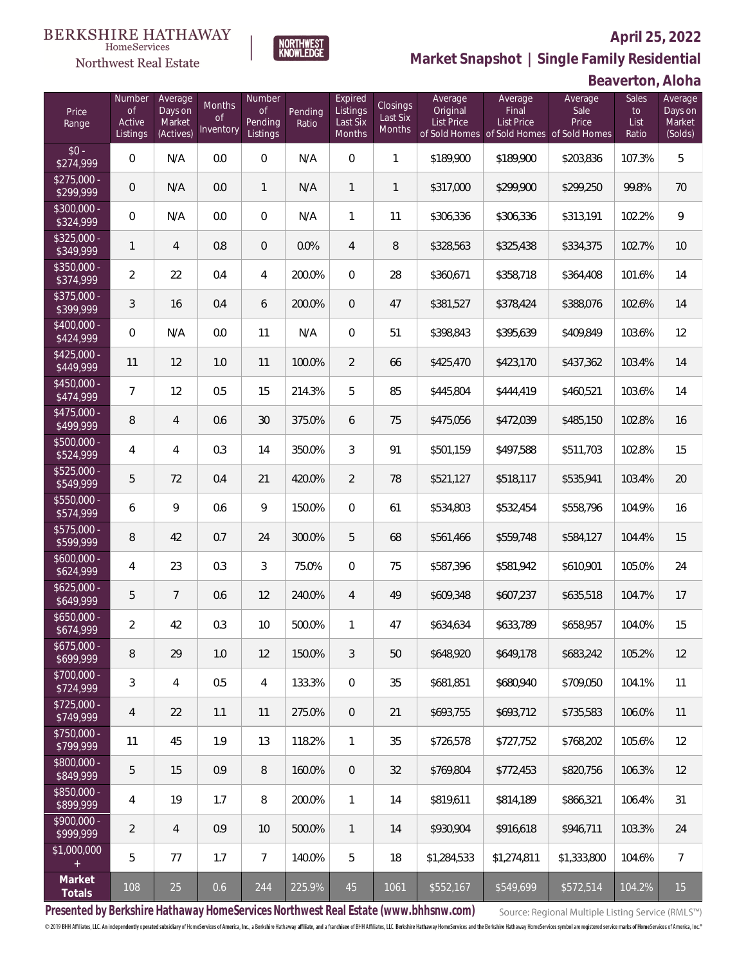### **April 25, 2022**



**NORTHWEST**<br>KNOWLEDGE

Northwest Real Estate

**Market Snapshot | Single Family Residential**

### **Beaverton, Aloha**

| Price<br>Range            | Number<br>of<br>Active<br>Listings | Average<br>Days on<br>Market<br>(Actives) | <b>Months</b><br>Οf<br>Inventory | Number<br><b>of</b><br>Pending<br>Listings | Pending<br>Ratio | Expired<br>Listings<br>Last Six<br>Months | Closings<br>Last Six<br>Months | Average<br>Original<br><b>List Price</b> | Average<br>Final<br>List Price<br>of Sold Homes of Sold Homes of Sold Homes | Average<br>Sale<br>Price | Sales<br>to<br>List<br>Ratio | Average<br>Days on<br>Market<br>(Solds) |
|---------------------------|------------------------------------|-------------------------------------------|----------------------------------|--------------------------------------------|------------------|-------------------------------------------|--------------------------------|------------------------------------------|-----------------------------------------------------------------------------|--------------------------|------------------------------|-----------------------------------------|
| $$0 -$<br>\$274,999       | $\overline{0}$                     | N/A                                       | 0.0                              | $\overline{0}$                             | N/A              | $\overline{0}$                            | $\mathbf{1}$                   | \$189,900                                | \$189,900                                                                   | \$203,836                | 107.3%                       | 5                                       |
| $$275,000 -$<br>\$299,999 | 0                                  | N/A                                       | 0.0                              | $\mathbf{1}$                               | N/A              | $\mathbf{1}$                              | $\mathbf{1}$                   | \$317,000                                | \$299,900                                                                   | \$299,250                | 99.8%                        | 70                                      |
| $$300,000 -$<br>\$324,999 | $\overline{0}$                     | N/A                                       | 0.0                              | $\overline{0}$                             | N/A              | $\mathbf{1}$                              | 11                             | \$306,336                                | \$306,336                                                                   | \$313,191                | 102.2%                       | 9                                       |
| $$325,000 -$<br>\$349,999 | $\mathbf{1}$                       | $\overline{4}$                            | 0.8                              | $\overline{0}$                             | 0.0%             | $\overline{4}$                            | 8                              | \$328,563                                | \$325,438                                                                   | \$334,375                | 102.7%                       | 10                                      |
| $$350,000 -$<br>\$374,999 | $\overline{a}$                     | 22                                        | 0.4                              | 4                                          | 200.0%           | $\overline{0}$                            | 28                             | \$360,671                                | \$358,718                                                                   | \$364,408                | 101.6%                       | 14                                      |
| $$375,000 -$<br>\$399,999 | 3                                  | 16                                        | 0.4                              | 6                                          | 200.0%           | $\overline{0}$                            | 47                             | \$381,527                                | \$378,424                                                                   | \$388,076                | 102.6%                       | 14                                      |
| $$400,000 -$<br>\$424,999 | $\overline{0}$                     | N/A                                       | 0.0                              | 11                                         | N/A              | $\overline{0}$                            | 51                             | \$398,843                                | \$395,639                                                                   | \$409,849                | 103.6%                       | 12                                      |
| $$425,000 -$<br>\$449,999 | 11                                 | 12                                        | 1.0                              | 11                                         | 100.0%           | $\overline{2}$                            | 66                             | \$425,470                                | \$423,170                                                                   | \$437,362                | 103.4%                       | 14                                      |
| $$450,000 -$<br>\$474,999 | 7                                  | 12                                        | 0.5                              | 15                                         | 214.3%           | 5                                         | 85                             | \$445,804                                | \$444,419                                                                   | \$460,521                | 103.6%                       | 14                                      |
| $$475,000 -$<br>\$499,999 | 8                                  | $\overline{4}$                            | 0.6                              | 30                                         | 375.0%           | 6                                         | 75                             | \$475,056                                | \$472,039                                                                   | \$485,150                | 102.8%                       | 16                                      |
| $$500,000 -$<br>\$524,999 | 4                                  | 4                                         | 0.3                              | 14                                         | 350.0%           | 3                                         | 91                             | \$501,159                                | \$497,588                                                                   | \$511,703                | 102.8%                       | 15                                      |
| \$525,000 -<br>\$549,999  | 5                                  | 72                                        | 0.4                              | 21                                         | 420.0%           | $\overline{2}$                            | 78                             | \$521,127                                | \$518,117                                                                   | \$535,941                | 103.4%                       | 20                                      |
| $$550,000 -$<br>\$574,999 | 6                                  | 9                                         | 0.6                              | $\mathcal{G}$                              | 150.0%           | $\overline{0}$                            | 61                             | \$534,803                                | \$532,454                                                                   | \$558,796                | 104.9%                       | 16                                      |
| $$575,000 -$<br>\$599,999 | 8                                  | 42                                        | 0.7                              | 24                                         | 300.0%           | 5                                         | 68                             | \$561,466                                | \$559,748                                                                   | \$584,127                | 104.4%                       | 15                                      |
| $$600,000 -$<br>\$624,999 | 4                                  | 23                                        | 0.3                              | 3                                          | 75.0%            | $\overline{0}$                            | 75                             | \$587,396                                | \$581,942                                                                   | \$610,901                | 105.0%                       | 24                                      |
| $$625,000 -$<br>\$649,999 | 5                                  | $\overline{7}$                            | 0.6                              | 12                                         | 240.0%           | $\overline{4}$                            | 49                             | \$609,348                                | \$607,237                                                                   | \$635,518                | 104.7%                       | 17                                      |
| $$650,000 -$<br>\$674,999 | $\overline{a}$                     | 42                                        | 0.3                              | 10                                         | 500.0%           | $\mathbf{1}$                              | 47                             | \$634,634                                | \$633,789                                                                   | \$658,957                | 104.0%                       | 15                                      |
| $$675,000 -$<br>\$699,999 | 8                                  | 29                                        | 1.0                              | 12                                         | 150.0%           | $\mathfrak{Z}$                            | 50                             | \$648,920                                | \$649,178                                                                   | \$683,242                | 105.2%                       | 12                                      |
| $$700,000 -$<br>\$724,999 | 3                                  | $\overline{4}$                            | 0.5                              | 4                                          | 133.3%           | $\mathbf 0$                               | 35                             | \$681,851                                | \$680,940                                                                   | \$709,050                | 104.1%                       | 11                                      |
| $$725,000 -$<br>\$749,999 | 4                                  | 22                                        | 1.1                              | 11                                         | 275.0%           | $\overline{0}$                            | 21                             | \$693,755                                | \$693,712                                                                   | \$735,583                | 106.0%                       | 11                                      |
| $$750,000 -$<br>\$799,999 | 11                                 | 45                                        | 1.9                              | 13                                         | 118.2%           | $\mathbf{1}$                              | 35                             | \$726,578                                | \$727,752                                                                   | \$768,202                | 105.6%                       | 12                                      |
| $$800,000 -$<br>\$849,999 | 5                                  | 15                                        | 0.9                              | $\, 8$                                     | 160.0%           | $\overline{0}$                            | 32                             | \$769,804                                | \$772,453                                                                   | \$820,756                | 106.3%                       | 12                                      |
| \$850,000 -<br>\$899,999  | 4                                  | 19                                        | 1.7                              | 8                                          | 200.0%           | $\mathbf{1}$                              | 14                             | \$819,611                                | \$814,189                                                                   | \$866,321                | 106.4%                       | 31                                      |
| $$900,000 -$<br>\$999,999 | $\overline{2}$                     | $\overline{4}$                            | 0.9                              | 10                                         | 500.0%           | $\mathbf{1}$                              | 14                             | \$930,904                                | \$916,618                                                                   | \$946,711                | 103.3%                       | 24                                      |
| \$1,000,000<br>$+$        | 5                                  | 77                                        | 1.7                              | $7\overline{ }$                            | 140.0%           | 5                                         | 18                             | \$1,284,533                              | \$1,274,811                                                                 | \$1,333,800              | 104.6%                       | $\overline{7}$                          |
| Market<br>Totals          | 108                                | 25                                        | 0.6                              | 244                                        | 225.9%           | 45                                        | 1061                           | \$552,167                                | \$549,699                                                                   | \$572,514                | 104.2%                       | 15                                      |

**Presented by Berkshire Hathaway HomeServices Northwest Real Estate (www.bhhsnw.com)**

Source: Regional Multiple Listing Service (RMLS™)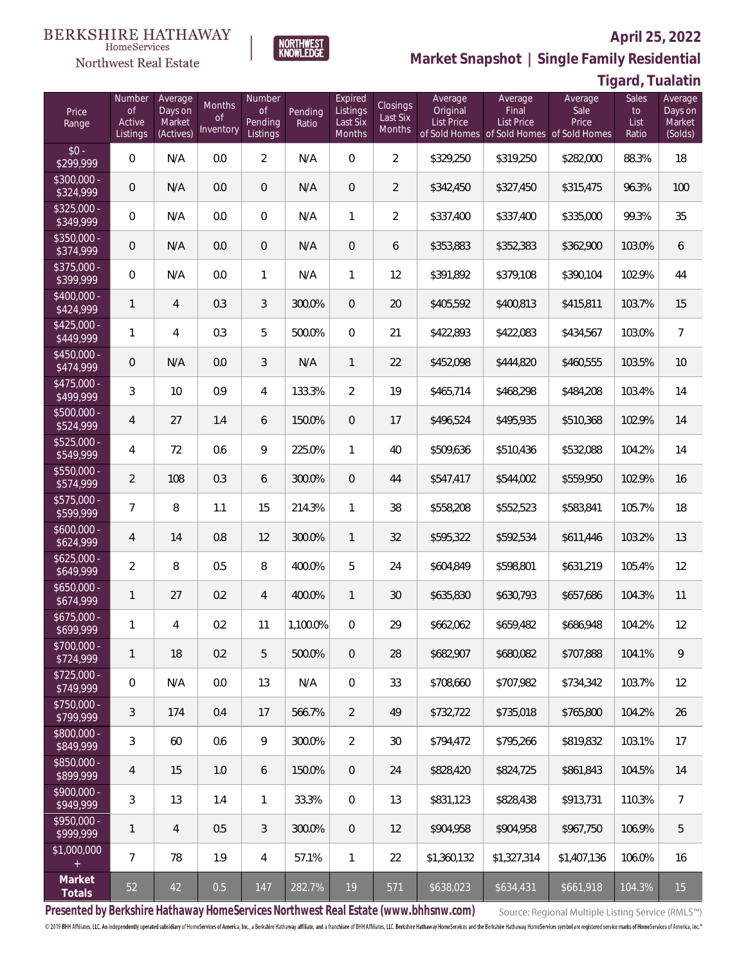#### **BERKSHIRE HATHAWAY** HomeServices

### Northwest Real Estate



# **Market Snapshot | Single Family Residential**

# **Tigard, Tualatin**

**April 25, 2022**

| Price<br>Range              | Number<br>of<br>Active<br>Listings | Average<br>Days on<br>Market<br>(Actives) | Months<br><b>of</b><br>Inventory | Number<br><b>of</b><br>Pending<br>Listings | Pending<br>Ratio | Expired<br>Listings<br>Last Six<br>Months | <b>Closings</b><br>Last Six<br>Months | Average<br>Original<br><b>List Price</b> | Average<br>Final<br><b>List Price</b><br>of Sold Homes of Sold Homes of Sold Homes | Average<br>Sale<br>Price | Sales<br>to<br>List<br>Ratio | Average<br>Days on<br>Market<br>(Solds) |
|-----------------------------|------------------------------------|-------------------------------------------|----------------------------------|--------------------------------------------|------------------|-------------------------------------------|---------------------------------------|------------------------------------------|------------------------------------------------------------------------------------|--------------------------|------------------------------|-----------------------------------------|
| $$0 -$<br>$\sqrt{$299,999}$ | $\overline{0}$                     | N/A                                       | 0.0                              | $\overline{2}$                             | N/A              | $\overline{0}$                            | $\overline{2}$                        | \$329,250                                | \$319,250                                                                          | \$282,000                | 88.3%                        | 18                                      |
| $$300,000 -$<br>\$324,999   | 0                                  | N/A                                       | 0.0                              | $\overline{0}$                             | N/A              | $\overline{0}$                            | $\overline{2}$                        | \$342,450                                | \$327,450                                                                          | \$315,475                | 96.3%                        | 100                                     |
| $$325,000 -$<br>\$349,999   | $\overline{0}$                     | N/A                                       | 0.0                              | $\overline{0}$                             | N/A              | $\mathbf{1}$                              | $\overline{2}$                        | \$337,400                                | \$337,400                                                                          | \$335,000                | 99.3%                        | 35                                      |
| $$350,000 -$<br>\$374,999   | 0                                  | N/A                                       | 0.0                              | $\overline{0}$                             | N/A              | $\overline{0}$                            | 6                                     | \$353,883                                | \$352,383                                                                          | \$362,900                | 103.0%                       | 6                                       |
| $$375,000 -$<br>\$399,999   | $\overline{0}$                     | N/A                                       | 0.0                              | $\mathbf{1}$                               | N/A              | $\mathbf{1}$                              | 12                                    | \$391,892                                | \$379,108                                                                          | \$390,104                | 102.9%                       | 44                                      |
| $$400,000 -$<br>\$424,999   | 1                                  | $\overline{4}$                            | 0.3                              | $\mathfrak{Z}$                             | 300.0%           | $\overline{0}$                            | 20                                    | \$405,592                                | \$400,813                                                                          | \$415,811                | 103.7%                       | 15                                      |
| $$425,000 -$<br>\$449,999   | 1                                  | $\overline{4}$                            | 0.3                              | 5                                          | 500.0%           | $\overline{0}$                            | 21                                    | \$422,893                                | \$422,083                                                                          | \$434,567                | 103.0%                       | $\overline{7}$                          |
| $$450,000 -$<br>\$474,999   | 0                                  | N/A                                       | 0.0                              | 3                                          | N/A              | $\mathbf{1}$                              | 22                                    | \$452,098                                | \$444,820                                                                          | \$460,555                | 103.5%                       | 10                                      |
| $$475,000 -$<br>\$499,999   | 3                                  | 10                                        | 0.9                              | 4                                          | 133.3%           | $\overline{2}$                            | 19                                    | \$465,714                                | \$468,298                                                                          | \$484,208                | 103.4%                       | 14                                      |
| $$500,000 -$<br>\$524,999   | 4                                  | 27                                        | 1.4                              | 6                                          | 150.0%           | $\overline{0}$                            | 17                                    | \$496,524                                | \$495,935                                                                          | \$510,368                | 102.9%                       | 14                                      |
| $$525,000 -$<br>\$549,999   | 4                                  | 72                                        | 0.6                              | 9                                          | 225.0%           | $\mathbf{1}$                              | 40                                    | \$509,636                                | \$510,436                                                                          | \$532,088                | 104.2%                       | 14                                      |
| $$550,000 -$<br>\$574,999   | $\overline{2}$                     | 108                                       | 0.3                              | 6                                          | 300.0%           | $\overline{0}$                            | 44                                    | \$547,417                                | \$544,002                                                                          | \$559,950                | 102.9%                       | 16                                      |
| $$575,000 -$<br>\$599,999   | 7                                  | 8                                         | 1.1                              | 15                                         | 214.3%           | $\mathbf{1}$                              | 38                                    | \$558,208                                | \$552,523                                                                          | \$583,841                | 105.7%                       | 18                                      |
| $$600,000 -$<br>\$624,999   | $\overline{4}$                     | 14                                        | 0.8                              | 12                                         | 300.0%           | $\mathbf{1}$                              | 32                                    | \$595,322                                | \$592,534                                                                          | \$611,446                | 103.2%                       | 13                                      |
| $$625,000 -$<br>\$649,999   | $\overline{2}$                     | 8                                         | 0.5                              | 8                                          | 400.0%           | 5                                         | 24                                    | \$604,849                                | \$598,801                                                                          | \$631,219                | 105.4%                       | 12                                      |
| $$650,000 -$<br>\$674,999   | 1                                  | 27                                        | 0.2                              | $\overline{4}$                             | 400.0%           | $\mathbf{1}$                              | 30                                    | \$635,830                                | \$630,793                                                                          | \$657,686                | 104.3%                       | 11                                      |
| $$675,000 -$<br>\$699,999   | 1                                  | $\overline{4}$                            | 0.2                              | 11                                         | 1,100.0%         | $\mathbf 0$                               | 29                                    | \$662,062                                | \$659,482                                                                          | \$686,948                | 104.2%                       | 12                                      |
| $$700,000 -$<br>\$724,999   | 1                                  | 18                                        | 0.2                              | 5                                          | 500.0%           | $\sqrt{0}$                                | 28                                    | \$682,907                                | \$680,082                                                                          | \$707,888                | 104.1%                       | 9                                       |
| $$725,000 -$<br>\$749,999   | $\,0\,$                            | N/A                                       | 0.0                              | 13                                         | N/A              | $\overline{0}$                            | 33                                    | \$708,660                                | \$707,982                                                                          | \$734.342                | 103.7%                       | 12                                      |
| $$750,000 -$<br>\$799,999   | 3                                  | 174                                       | 0.4                              | 17                                         | 566.7%           | $\overline{2}$                            | 49                                    | \$732,722                                | \$735,018                                                                          | \$765,800                | 104.2%                       | 26                                      |
| $$800,000 -$<br>\$849,999   | 3                                  | 60                                        | 0.6                              | $\mathcal{G}$                              | 300.0%           | $\overline{2}$                            | 30                                    | \$794,472                                | \$795,266                                                                          | \$819,832                | 103.1%                       | 17                                      |
| $$850,000 -$<br>\$899,999   | 4                                  | 15                                        | 1.0                              | 6                                          | 150.0%           | $\sqrt{0}$                                | 24                                    | \$828,420                                | \$824,725                                                                          | \$861,843                | 104.5%                       | 14                                      |
| $$900,000 -$<br>\$949,999   | 3                                  | 13                                        | 1.4                              | $\mathbf{1}$                               | 33.3%            | $\mathbf 0$                               | 13                                    | \$831,123                                | \$828,438                                                                          | \$913,731                | 110.3%                       | 7                                       |
| \$950,000 -<br>\$999,999    | 1                                  | $\overline{4}$                            | 0.5                              | 3                                          | 300.0%           | $\sqrt{0}$                                | 12                                    | \$904,958                                | \$904,958                                                                          | \$967,750                | 106.9%                       | 5                                       |
| \$1,000,000<br>$+$          | $\overline{7}$                     | 78                                        | 1.9                              | $\overline{4}$                             | 57.1%            | $\mathbf{1}$                              | 22                                    | \$1,360,132                              | \$1,327,314                                                                        | \$1,407,136              | 106.0%                       | 16                                      |
| Market<br>Totals            | 52                                 | 42                                        | 0.5                              | 147                                        | 282.7%           | 19                                        | 571                                   | \$638,023                                | \$634,431                                                                          | \$661,918                | 104.3%                       | 15                                      |

**Presented by Berkshire Hathaway HomeServices Northwest Real Estate (www.bhhsnw.com)**

Source: Regional Multiple Listing Service (RMLS™)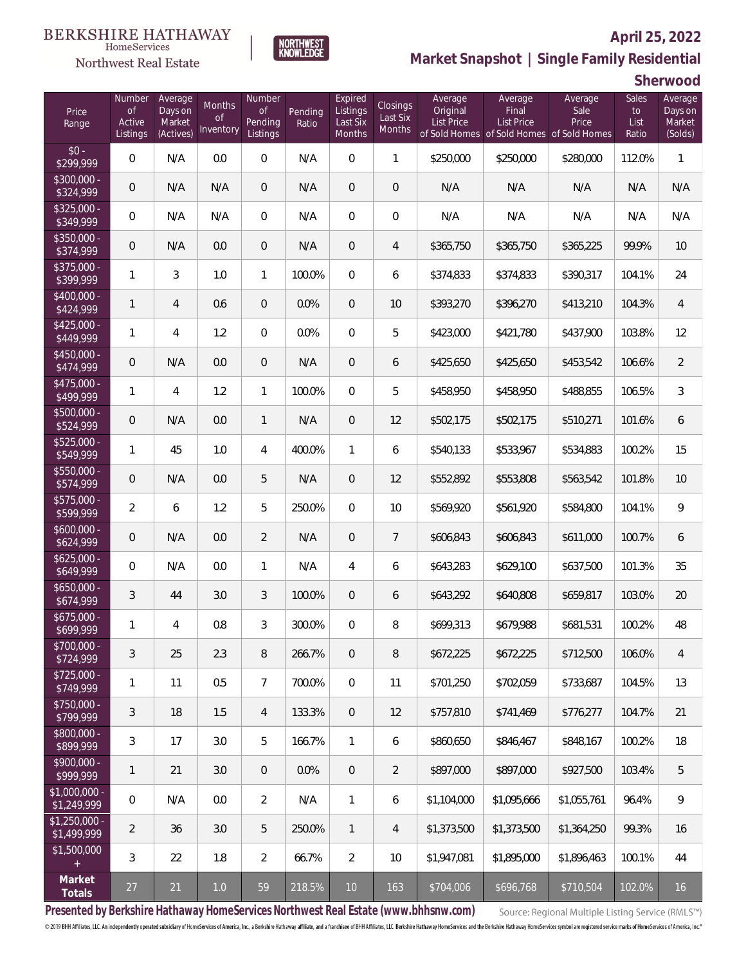#### **BERKSHIRE HATHAWAY** HomeServices

Northwest Real Estate



# **Market Snapshot | Single Family Residential**

**Sherwood**

**April 25, 2022**

| Price<br>Range                | Number<br><b>of</b><br>Active<br>Listings | Average<br>Days on<br>Market<br>(Actives) | Months<br><b>of</b><br>Inventory | Number<br><b>of</b><br>Pending<br>Listings | Pending<br>Ratio | Expired<br>Listings<br>Last Six<br>Months | Closings<br>Last Six<br>Months | Average<br>Original<br><b>List Price</b> | Average<br>Final<br><b>List Price</b><br>of Sold Homes of Sold Homes of Sold Homes | Average<br>Sale<br>Price | Sales<br>to<br>List<br>Ratio | Average<br>Days on<br>Market<br>(Solds) |
|-------------------------------|-------------------------------------------|-------------------------------------------|----------------------------------|--------------------------------------------|------------------|-------------------------------------------|--------------------------------|------------------------------------------|------------------------------------------------------------------------------------|--------------------------|------------------------------|-----------------------------------------|
| $$0 -$<br>$\sqrt{$299,999}$   | 0                                         | N/A                                       | 0.0                              | $\overline{0}$                             | N/A              | $\overline{0}$                            | $\mathbf{1}$                   | \$250,000                                | \$250,000                                                                          | \$280,000                | 112.0%                       | $\mathbf{1}$                            |
| $$300,000 -$<br>\$324,999     | 0                                         | N/A                                       | N/A                              | $\overline{0}$                             | N/A              | $\overline{0}$                            | $\overline{0}$                 | N/A                                      | N/A                                                                                | N/A                      | N/A                          | N/A                                     |
| $$325,000 -$<br>\$349,999     | 0                                         | N/A                                       | N/A                              | $\overline{0}$                             | N/A              | $\overline{0}$                            | $\overline{0}$                 | N/A                                      | N/A                                                                                | N/A                      | N/A                          | N/A                                     |
| $$350,000 -$<br>\$374,999     | 0                                         | N/A                                       | 0.0                              | $\overline{0}$                             | N/A              | $\overline{0}$                            | $\overline{4}$                 | \$365,750                                | \$365,750                                                                          | \$365,225                | 99.9%                        | 10                                      |
| \$375,000 -<br>\$399,999      | 1                                         | 3                                         | 1.0                              | $\mathbf{1}$                               | 100.0%           | $\overline{0}$                            | 6                              | \$374,833                                | \$374,833                                                                          | \$390,317                | 104.1%                       | 24                                      |
| $$400,000 -$<br>\$424,999     | $\mathbf{1}$                              | $\overline{4}$                            | 0.6                              | $\overline{0}$                             | 0.0%             | $\overline{0}$                            | 10                             | \$393,270                                | \$396,270                                                                          | \$413,210                | 104.3%                       | $\overline{4}$                          |
| $$425,000 -$<br>\$449,999     | $\mathbf{1}$                              | 4                                         | 1.2                              | $\overline{0}$                             | 0.0%             | $\overline{0}$                            | 5                              | \$423,000                                | \$421,780                                                                          | \$437,900                | 103.8%                       | 12                                      |
| $$450,000 -$<br>\$474,999     | 0                                         | N/A                                       | 0.0                              | $\overline{0}$                             | N/A              | $\overline{0}$                            | 6                              | \$425,650                                | \$425,650                                                                          | \$453,542                | 106.6%                       | $\overline{2}$                          |
| $$475,000 -$<br>\$499,999     | $\mathbf{1}$                              | 4                                         | 1.2                              | $\mathbf{1}$                               | 100.0%           | $\overline{0}$                            | 5                              | \$458,950                                | \$458,950                                                                          | \$488,855                | 106.5%                       | $\mathfrak{Z}$                          |
| \$500,000 -<br>\$524,999      | 0                                         | N/A                                       | 0.0                              | $\mathbf{1}$                               | N/A              | $\overline{0}$                            | 12                             | \$502,175                                | \$502,175                                                                          | \$510,271                | 101.6%                       | 6                                       |
| $$525,000 -$<br>\$549,999     | $\mathbf{1}$                              | 45                                        | 1.0                              | $\overline{4}$                             | 400.0%           | $\mathbf{1}$                              | 6                              | \$540,133                                | \$533,967                                                                          | \$534,883                | 100.2%                       | 15                                      |
| $$550,000 -$<br>\$574,999     | 0                                         | N/A                                       | 0.0                              | 5                                          | N/A              | $\overline{0}$                            | 12                             | \$552,892                                | \$553,808                                                                          | \$563,542                | 101.8%                       | 10                                      |
| $$575,000 -$<br>\$599,999     | $\overline{2}$                            | 6                                         | 1.2                              | 5                                          | 250.0%           | $\Omega$                                  | 10                             | \$569,920                                | \$561,920                                                                          | \$584,800                | 104.1%                       | 9                                       |
| $$600,000 -$<br>\$624,999     | 0                                         | N/A                                       | 0.0                              | $\overline{2}$                             | N/A              | $\overline{0}$                            | $\overline{7}$                 | \$606,843                                | \$606,843                                                                          | \$611,000                | 100.7%                       | 6                                       |
| $$625,000 -$<br>\$649,999     | 0                                         | N/A                                       | 0.0                              | $\mathbf{1}$                               | N/A              | 4                                         | 6                              | \$643,283                                | \$629,100                                                                          | \$637,500                | 101.3%                       | 35                                      |
| $$650,000 -$<br>\$674,999     | $\mathfrak{Z}$                            | 44                                        | 3.0                              | $\mathfrak{Z}$                             | 100.0%           | $\overline{0}$                            | 6                              | \$643,292                                | \$640,808                                                                          | \$659,817                | 103.0%                       | 20                                      |
| $$675,000 -$<br>\$699,999     | 1                                         | 4                                         | 0.8                              | 3                                          | 300.0%           | $\overline{0}$                            | 8                              | \$699,313                                | \$679,988                                                                          | \$681,531                | 100.2%                       | 48                                      |
| \$700,000 -<br>\$724,999      | $\mathfrak{Z}$                            | 25                                        | 2.3                              | $\, 8$                                     | 266.7%           | $\,0\,$                                   | $\, 8$                         | \$672,225                                | \$672,225                                                                          | \$712,500                | 106.0%                       | 4                                       |
| $$725,000 -$<br>\$749,999     | 1                                         | 11                                        | 0.5                              | $7\overline{ }$                            | 700.0%           | $\mathbf 0$                               | 11                             | \$701,250                                | \$702,059                                                                          | \$733,687                | 104.5%                       | 13                                      |
| $$750,000 -$<br>\$799,999     | $\mathfrak{Z}$                            | 18                                        | 1.5                              | $\overline{4}$                             | 133.3%           | $\sqrt{0}$                                | 12                             | \$757,810                                | \$741,469                                                                          | \$776,277                | 104.7%                       | 21                                      |
| \$800,000 -<br>\$899,999      | 3                                         | 17                                        | 3.0                              | 5                                          | 166.7%           | $\mathbf{1}$                              | 6                              | \$860,650                                | \$846.467                                                                          | \$848,167                | 100.2%                       | 18                                      |
| $$900,000 -$<br>\$999,999     | $\mathbf{1}$                              | 21                                        | 3.0                              | $\overline{0}$                             | 0.0%             | $\sqrt{0}$                                | $\overline{2}$                 | \$897,000                                | \$897,000                                                                          | \$927,500                | 103.4%                       | 5                                       |
| \$1,000,000 -<br>\$1,249,999  | $\boldsymbol{0}$                          | N/A                                       | 0.0                              | $\overline{2}$                             | N/A              | $\mathbf{1}$                              | 6                              | \$1,104,000                              | \$1,095,666                                                                        | \$1,055,761              | 96.4%                        | 9                                       |
| $$1,250,000$ -<br>\$1,499,999 | $\overline{2}$                            | 36                                        | 3.0                              | 5                                          | 250.0%           | $\mathbf{1}$                              | $\overline{4}$                 | \$1,373,500                              | \$1,373,500                                                                        | \$1,364,250              | 99.3%                        | 16                                      |
| \$1,500,000<br>$\pm$          | 3                                         | 22                                        | 1.8                              | $\overline{2}$                             | 66.7%            | $\overline{2}$                            | 10                             | \$1,947,081                              | \$1,895,000                                                                        | \$1,896,463              | 100.1%                       | 44                                      |
| Market<br>Totals              | $27$                                      | 21                                        | $1.0\,$                          | 59                                         | 218.5%           | $10$                                      | 163                            | \$704,006                                | \$696,768                                                                          | \$710,504                | 102.0%                       | 16                                      |

**Presented by Berkshire Hathaway HomeServices Northwest Real Estate (www.bhhsnw.com)**

Source: Regional Multiple Listing Service (RMLS™)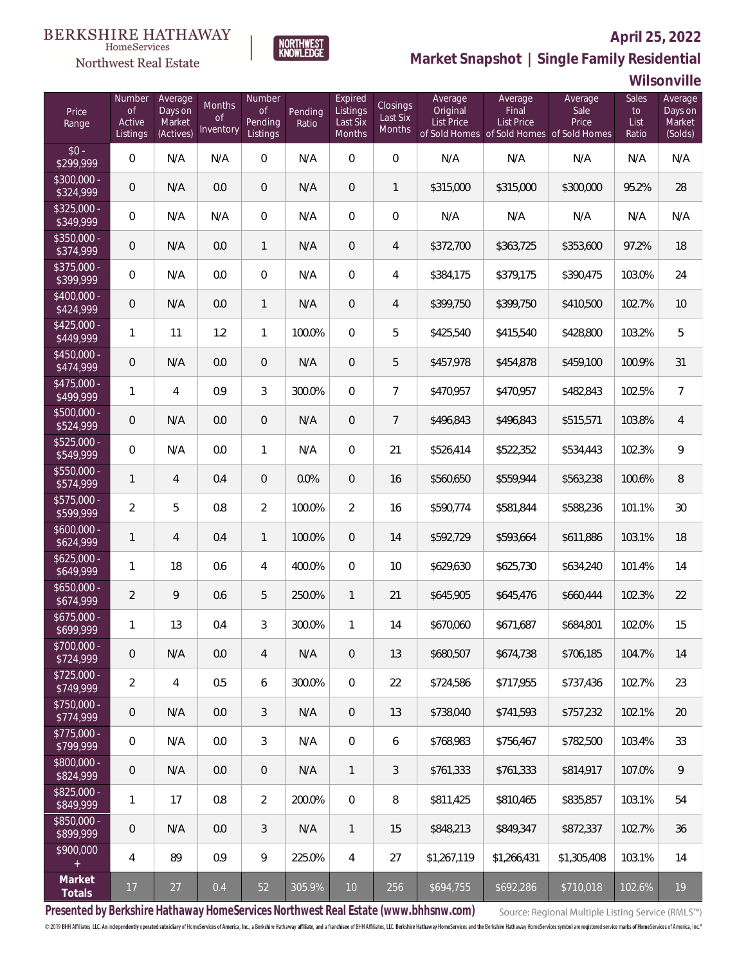# **April 25, 2022**



 $\label{lem:sevices} \textsc{Home} \textsc{Service} \textsc{s}$ 

**Market Snapshot | Single Family Residential**

### **Wilsonville**

| Price<br>Range            | Number<br><b>of</b><br>Active<br>Listings | Average<br>Days on<br>Market<br>(Actives) | Months<br>0f<br>Inventory | Number<br><b>of</b><br>Pending<br>Listings | Pending<br>Ratio | Expired<br>Listings<br>Last Six<br>Months | Closings<br>Last Six<br>Months | Average<br>Original<br>List Price | Average<br>Final<br>List Price<br>of Sold Homes of Sold Homes of Sold Homes | Average<br>Sale<br>Price | Sales<br>to<br>List<br>Ratio | Average<br>Days on<br>Market<br>(Solds) |
|---------------------------|-------------------------------------------|-------------------------------------------|---------------------------|--------------------------------------------|------------------|-------------------------------------------|--------------------------------|-----------------------------------|-----------------------------------------------------------------------------|--------------------------|------------------------------|-----------------------------------------|
| $$0 -$<br>\$299,999       | 0                                         | N/A                                       | N/A                       | $\overline{0}$                             | N/A              | $\Omega$                                  | $\overline{0}$                 | N/A                               | N/A                                                                         | N/A                      | N/A                          | N/A                                     |
| $$300,000 -$<br>\$324,999 | 0                                         | N/A                                       | 0.0                       | $\overline{0}$                             | N/A              | $\overline{0}$                            | $\mathbf{1}$                   | \$315,000                         | \$315,000                                                                   | \$300,000                | 95.2%                        | 28                                      |
| $$325,000 -$<br>\$349,999 | 0                                         | N/A                                       | N/A                       | $\overline{0}$                             | N/A              | $\overline{0}$                            | $\overline{0}$                 | N/A                               | N/A                                                                         | N/A                      | N/A                          | N/A                                     |
| $$350,000 -$<br>\$374,999 | 0                                         | N/A                                       | 0.0                       | $\mathbf{1}$                               | N/A              | $\overline{0}$                            | $\overline{4}$                 | \$372,700                         | \$363,725                                                                   | \$353,600                | 97.2%                        | 18                                      |
| $$375,000 -$<br>\$399,999 | 0                                         | N/A                                       | 0.0                       | $\overline{0}$                             | N/A              | $\overline{0}$                            | $\overline{4}$                 | \$384,175                         | \$379,175                                                                   | \$390,475                | 103.0%                       | 24                                      |
| $$400,000 -$<br>\$424,999 | 0                                         | N/A                                       | 0.0                       | $\mathbf{1}$                               | N/A              | $\overline{0}$                            | $\overline{4}$                 | \$399,750                         | \$399,750                                                                   | \$410,500                | 102.7%                       | 10                                      |
| $$425,000 -$<br>\$449,999 | 1                                         | 11                                        | 1.2                       | $\mathbf{1}$                               | 100.0%           | $\overline{0}$                            | 5                              | \$425,540                         | \$415,540                                                                   | \$428,800                | 103.2%                       | 5                                       |
| $$450,000 -$<br>\$474,999 | 0                                         | N/A                                       | 0.0                       | $\overline{0}$                             | N/A              | $\overline{0}$                            | 5                              | \$457,978                         | \$454,878                                                                   | \$459,100                | 100.9%                       | 31                                      |
| $$475,000 -$<br>\$499,999 | 1                                         | $\overline{4}$                            | 0.9                       | 3                                          | 300.0%           | $\overline{0}$                            | $\overline{7}$                 | \$470,957                         | \$470,957                                                                   | \$482,843                | 102.5%                       | $\overline{7}$                          |
| $$500,000 -$<br>\$524,999 | 0                                         | N/A                                       | 0.0                       | $\overline{0}$                             | N/A              | $\overline{0}$                            | $7\overline{ }$                | \$496,843                         | \$496,843                                                                   | \$515,571                | 103.8%                       | $\overline{4}$                          |
| $$525,000 -$<br>\$549,999 | 0                                         | N/A                                       | 0.0                       | $\mathbf{1}$                               | N/A              | $\overline{0}$                            | 21                             | \$526,414                         | \$522,352                                                                   | \$534,443                | 102.3%                       | 9                                       |
| \$550,000 -<br>\$574,999  | 1                                         | $\overline{4}$                            | 0.4                       | $\overline{0}$                             | 0.0%             | $\overline{0}$                            | 16                             | \$560,650                         | \$559,944                                                                   | \$563,238                | 100.6%                       | $\, 8$                                  |
| $$575,000 -$<br>\$599,999 | $\overline{2}$                            | 5                                         | 0.8                       | $\overline{2}$                             | 100.0%           | $\overline{2}$                            | 16                             | \$590,774                         | \$581,844                                                                   | \$588,236                | 101.1%                       | 30                                      |
| $$600,000 -$<br>\$624,999 | 1                                         | $\overline{4}$                            | 0.4                       | $\mathbf{1}$                               | 100.0%           | $\overline{0}$                            | 14                             | \$592,729                         | \$593,664                                                                   | \$611,886                | 103.1%                       | 18                                      |
| $$625,000 -$<br>\$649,999 | 1                                         | 18                                        | 0.6                       | $\overline{4}$                             | 400.0%           | $\overline{0}$                            | 10                             | \$629,630                         | \$625,730                                                                   | \$634,240                | 101.4%                       | 14                                      |
| $$650,000 -$<br>\$674,999 | $\overline{a}$                            | 9                                         | 0.6                       | 5                                          | 250.0%           | $\mathbf{1}$                              | 21                             | \$645,905                         | \$645,476                                                                   | \$660,444                | 102.3%                       | 22                                      |
| $$675,000 -$<br>\$699,999 | 1                                         | 13                                        | 0.4                       | 3                                          | 300.0%           | $\mathbf{1}$                              | 14                             | \$670,060                         | \$671,687                                                                   | \$684,801                | 102.0%                       | 15                                      |
| \$700,000 -<br>\$724,999  | 0                                         | N/A                                       | 0.0                       | 4                                          | N/A              | 0                                         | 13                             | \$680,507                         | \$674,738                                                                   | \$706,185                | 104.7%                       | 14                                      |
| $$725,000 -$<br>\$749,999 | $\overline{2}$                            | 4                                         | 0.5                       | 6                                          | 300.0%           | 0                                         | 22                             | \$724,586                         | \$717,955                                                                   | \$737,436                | 102.7%                       | 23                                      |
| \$750,000 -<br>\$774,999  | 0                                         | N/A                                       | 0.0                       | 3                                          | N/A              | 0                                         | 13                             | \$738,040                         | \$741,593                                                                   | \$757,232                | 102.1%                       | $20\,$                                  |
| $$775,000 -$<br>\$799,999 | 0                                         | N/A                                       | 0.0                       | $\mathfrak{Z}$                             | N/A              | 0                                         | 6                              | \$768,983                         | \$756,467                                                                   | \$782,500                | 103.4%                       | 33                                      |
| \$800,000 -<br>\$824,999  | 0                                         | N/A                                       | 0.0                       | $\overline{0}$                             | N/A              | $\mathbf{1}$                              | 3                              | \$761,333                         | \$761,333                                                                   | \$814,917                | 107.0%                       | 9                                       |
| \$825,000 -<br>\$849,999  | 1                                         | 17                                        | 0.8                       | $\overline{2}$                             | 200.0%           | $\mathbf 0$                               | 8                              | \$811,425                         | \$810,465                                                                   | \$835,857                | 103.1%                       | 54                                      |
| \$850,000 -<br>\$899,999  | 0                                         | N/A                                       | 0.0                       | 3                                          | N/A              | $\mathbf{1}$                              | 15                             | \$848,213                         | \$849,347                                                                   | \$872,337                | 102.7%                       | 36                                      |
| \$900,000<br>$\pm$        | 4                                         | 89                                        | 0.9                       | $\mathcal{G}$                              | 225.0%           | $\overline{4}$                            | 27                             | \$1,267,119                       | \$1,266,431                                                                 | \$1,305,408              | 103.1%                       | 14                                      |
| Market<br>Totals          | 17                                        | 27                                        | 0.4                       | 52                                         | 305.9%           | 10                                        | 256                            | \$694,755                         | \$692,286                                                                   | \$710,018                | 102.6%                       | $19$                                    |

**Presented by Berkshire Hathaway HomeServices Northwest Real Estate (www.bhhsnw.com)**

Source: Regional Multiple Listing Service (RMLS™)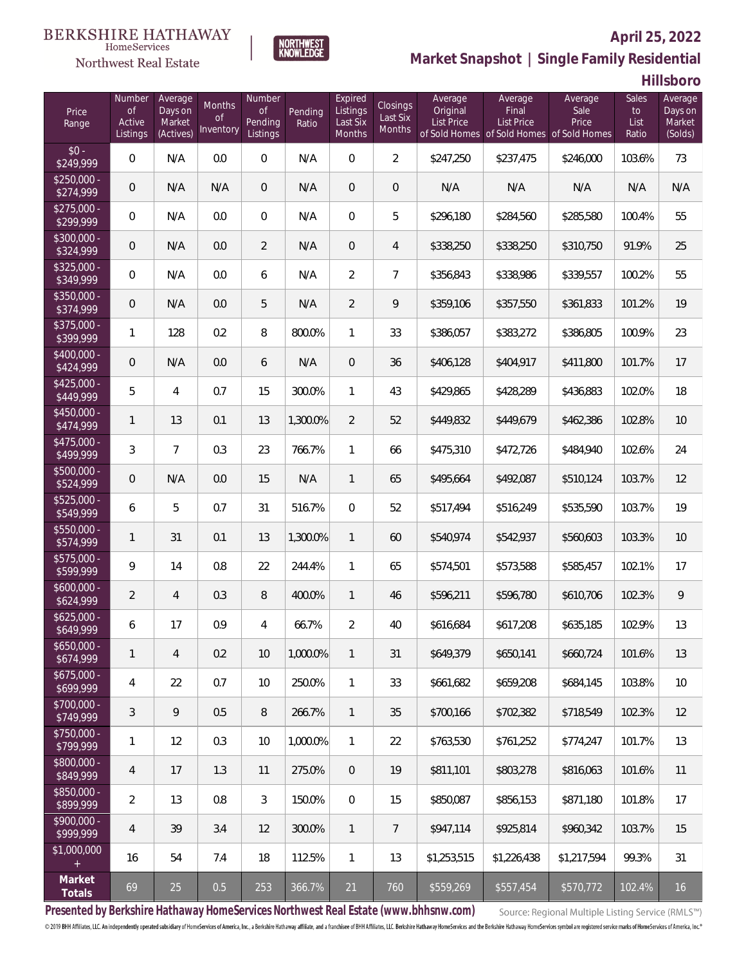#### **BERKSHIRE HATHAWAY**  $\label{lem:sevices} \textsc{Home} \textsc{Service} \textsc{s}$

### Northwest Real Estate



# **April 25, 2022 Market Snapshot | Single Family Residential**

**Hillsboro**

| Price<br>Range            | Number<br><b>of</b><br>Active<br>Listings | Average<br>Days on<br>Market<br>(Actives) | <b>Months</b><br>0f<br>Inventory | Number<br><b>of</b><br>Pending<br>Listings | Pending<br>Ratio | Expired<br>Listings<br>Last Six<br>Months | Closings<br>Last Six<br>Months | Average<br>Original<br><b>List Price</b> | Average<br>Final<br>List Price<br>of Sold Homes of Sold Homes | Average<br>Sale<br>Price<br>of Sold Homes | Sales<br>to<br>List<br>Ratio | Average<br>Days on<br>Market<br>(Solds) |
|---------------------------|-------------------------------------------|-------------------------------------------|----------------------------------|--------------------------------------------|------------------|-------------------------------------------|--------------------------------|------------------------------------------|---------------------------------------------------------------|-------------------------------------------|------------------------------|-----------------------------------------|
| $$0 -$<br>\$249,999       | 0                                         | N/A                                       | 0.0                              | $\Omega$                                   | N/A              | $\Omega$                                  | $\overline{2}$                 | \$247,250                                | \$237,475                                                     | \$246,000                                 | 103.6%                       | 73                                      |
| $$250,000 -$<br>\$274,999 | 0                                         | N/A                                       | N/A                              | $\overline{0}$                             | N/A              | $\overline{0}$                            | $\overline{0}$                 | N/A                                      | N/A                                                           | N/A                                       | N/A                          | N/A                                     |
| $$275,000 -$<br>\$299,999 | 0                                         | N/A                                       | 0.0                              | $\overline{0}$                             | N/A              | $\overline{0}$                            | 5                              | \$296,180                                | \$284,560                                                     | \$285,580                                 | 100.4%                       | 55                                      |
| $$300,000 -$<br>\$324,999 | 0                                         | N/A                                       | 0.0                              | $\overline{2}$                             | N/A              | $\overline{0}$                            | $\overline{4}$                 | \$338,250                                | \$338,250                                                     | \$310,750                                 | 91.9%                        | 25                                      |
| $$325,000 -$<br>\$349,999 | $\overline{0}$                            | N/A                                       | 0.0                              | 6                                          | N/A              | $\overline{2}$                            | $\overline{7}$                 | \$356,843                                | \$338,986                                                     | \$339,557                                 | 100.2%                       | 55                                      |
| \$350,000 -<br>\$374,999  | $\overline{0}$                            | N/A                                       | 0.0                              | 5                                          | N/A              | $\overline{2}$                            | 9                              | \$359,106                                | \$357,550                                                     | \$361,833                                 | 101.2%                       | 19                                      |
| \$375,000 -<br>\$399,999  | 1                                         | 128                                       | 0.2                              | 8                                          | 800.0%           | $\mathbf{1}$                              | 33                             | \$386,057                                | \$383,272                                                     | \$386,805                                 | 100.9%                       | 23                                      |
| $$400,000 -$<br>\$424,999 | 0                                         | N/A                                       | 0.0                              | 6                                          | N/A              | $\overline{0}$                            | 36                             | \$406,128                                | \$404,917                                                     | \$411,800                                 | 101.7%                       | 17                                      |
| $$425,000 -$<br>\$449,999 | 5                                         | 4                                         | 0.7                              | 15                                         | 300.0%           | $\mathbf{1}$                              | 43                             | \$429,865                                | \$428,289                                                     | \$436,883                                 | 102.0%                       | 18                                      |
| $$450,000 -$<br>\$474,999 | 1                                         | 13                                        | 0.1                              | 13                                         | 1,300.0%         | $\overline{2}$                            | 52                             | \$449,832                                | \$449,679                                                     | \$462,386                                 | 102.8%                       | 10                                      |
| $$475,000 -$<br>\$499,999 | 3                                         | $\overline{7}$                            | 0.3                              | 23                                         | 766.7%           | $\mathbf{1}$                              | 66                             | \$475,310                                | \$472,726                                                     | \$484,940                                 | 102.6%                       | 24                                      |
| $$500,000 -$<br>\$524,999 | $\overline{0}$                            | N/A                                       | 0.0                              | 15                                         | N/A              | $\mathbf{1}$                              | 65                             | \$495,664                                | \$492,087                                                     | \$510,124                                 | 103.7%                       | 12                                      |
| $$525,000 -$<br>\$549,999 | 6                                         | 5                                         | 0.7                              | 31                                         | 516.7%           | $\overline{0}$                            | 52                             | \$517,494                                | \$516,249                                                     | \$535,590                                 | 103.7%                       | 19                                      |
| \$550,000 -<br>\$574,999  | 1                                         | 31                                        | 0.1                              | 13                                         | 1,300.0%         | $\mathbf{1}$                              | 60                             | \$540,974                                | \$542,937                                                     | \$560,603                                 | 103.3%                       | 10                                      |
| $$575,000 -$<br>\$599,999 | 9                                         | 14                                        | 0.8                              | 22                                         | 244.4%           | $\mathbf{1}$                              | 65                             | \$574,501                                | \$573,588                                                     | \$585,457                                 | 102.1%                       | 17                                      |
| $$600,000 -$<br>\$624,999 | $\overline{2}$                            | 4                                         | 0.3                              | $\, 8$                                     | 400.0%           | $\mathbf{1}$                              | 46                             | \$596,211                                | \$596,780                                                     | \$610,706                                 | 102.3%                       | 9                                       |
| $$625,000 -$<br>\$649,999 | 6                                         | 17                                        | 0.9                              | 4                                          | 66.7%            | $\overline{2}$                            | 40                             | \$616,684                                | \$617,208                                                     | \$635,185                                 | 102.9%                       | 13                                      |
| $$650,000 -$<br>\$674,999 | 1                                         | 4                                         | 0.2                              | 10                                         | 1.000.0%         | $\mathbf{1}$                              | 31                             | \$649,379                                | \$650,141                                                     | \$660,724                                 | 101.6%                       | 13                                      |
| $$675,000 -$<br>\$699,999 | 4                                         | 22                                        | 0.7                              | 10                                         | 250.0%           | $\mathbf{1}$                              | 33                             | \$661,682                                | \$659,208                                                     | \$684,145                                 | 103.8%                       | 10                                      |
| \$700,000 -<br>\$749,999  | 3                                         | 9                                         | 0.5                              | $\, 8$                                     | 266.7%           | $\mathbf{1}$                              | 35                             | \$700,166                                | \$702,382                                                     | \$718,549                                 | 102.3%                       | 12                                      |
| $$750,000 -$<br>\$799,999 | 1                                         | 12                                        | 0.3                              | 10                                         | 1.000.0%         | $\mathbf{1}$                              | 22                             | \$763,530                                | \$761,252                                                     | \$774,247                                 | 101.7%                       | 13                                      |
| $$800,000 -$<br>\$849,999 | 4                                         | 17                                        | 1.3                              | 11                                         | 275.0%           | $\overline{0}$                            | 19                             | \$811,101                                | \$803.278                                                     | \$816,063                                 | 101.6%                       | 11                                      |
| \$850,000 -<br>\$899,999  | $\overline{2}$                            | 13                                        | 0.8                              | 3                                          | 150.0%           | $\overline{0}$                            | 15                             | \$850,087                                | \$856,153                                                     | \$871,180                                 | 101.8%                       | 17                                      |
| $$900,000 -$<br>\$999,999 | $\overline{4}$                            | 39                                        | 3.4                              | 12                                         | 300.0%           | $\mathbf{1}$                              | $\overline{7}$                 | \$947,114                                | \$925,814                                                     | \$960,342                                 | 103.7%                       | 15                                      |
| \$1,000,000<br>$+$        | 16                                        | 54                                        | 7.4                              | 18                                         | 112.5%           | $\mathbf{1}$                              | 13                             | \$1,253,515                              | \$1,226,438                                                   | \$1,217,594                               | 99.3%                        | 31                                      |
| Market<br>Totals          | 69                                        | 25                                        | 0.5                              | 253                                        | 366.7%           | 21                                        | 760                            | \$559,269                                | \$557,454                                                     | \$570,772                                 | 102.4%                       | 16                                      |

**Presented by Berkshire Hathaway HomeServices Northwest Real Estate (www.bhhsnw.com)**

Source: Regional Multiple Listing Service (RMLS™)